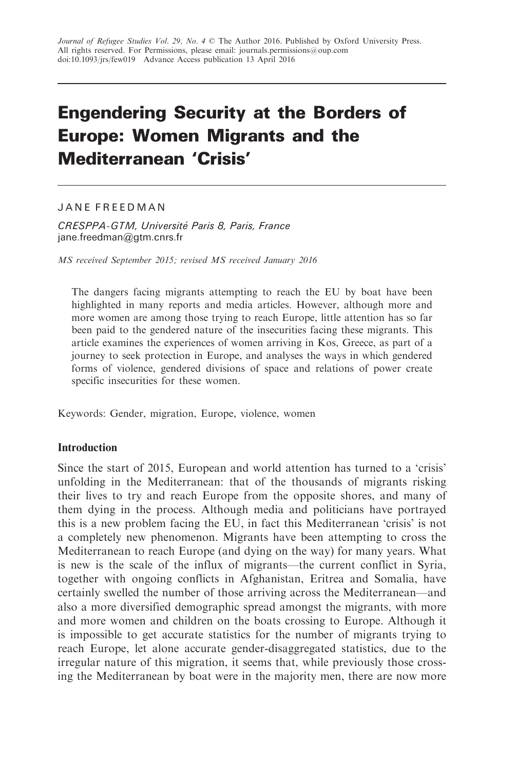# Engendering Security at the Borders of Europe: Women Migrants and the Mediterranean 'Crisis'

## JANE FREEDMAN

CRESPPA-GTM, Université Paris 8, Paris, France jane.freedman@gtm.cnrs.fr

MS received September 2015; revised MS received January 2016

The dangers facing migrants attempting to reach the EU by boat have been highlighted in many reports and media articles. However, although more and more women are among those trying to reach Europe, little attention has so far been paid to the gendered nature of the insecurities facing these migrants. This article examines the experiences of women arriving in Kos, Greece, as part of a journey to seek protection in Europe, and analyses the ways in which gendered forms of violence, gendered divisions of space and relations of power create specific insecurities for these women.

Keywords: Gender, migration, Europe, violence, women

#### Introduction

Since the start of 2015, European and world attention has turned to a 'crisis' unfolding in the Mediterranean: that of the thousands of migrants risking their lives to try and reach Europe from the opposite shores, and many of them dying in the process. Although media and politicians have portrayed this is a new problem facing the EU, in fact this Mediterranean 'crisis' is not a completely new phenomenon. Migrants have been attempting to cross the Mediterranean to reach Europe (and dying on the way) for many years. What is new is the scale of the influx of migrants—the current conflict in Syria, together with ongoing conflicts in Afghanistan, Eritrea and Somalia, have certainly swelled the number of those arriving across the Mediterranean—and also a more diversified demographic spread amongst the migrants, with more and more women and children on the boats crossing to Europe. Although it is impossible to get accurate statistics for the number of migrants trying to reach Europe, let alone accurate gender-disaggregated statistics, due to the irregular nature of this migration, it seems that, while previously those crossing the Mediterranean by boat were in the majority men, there are now more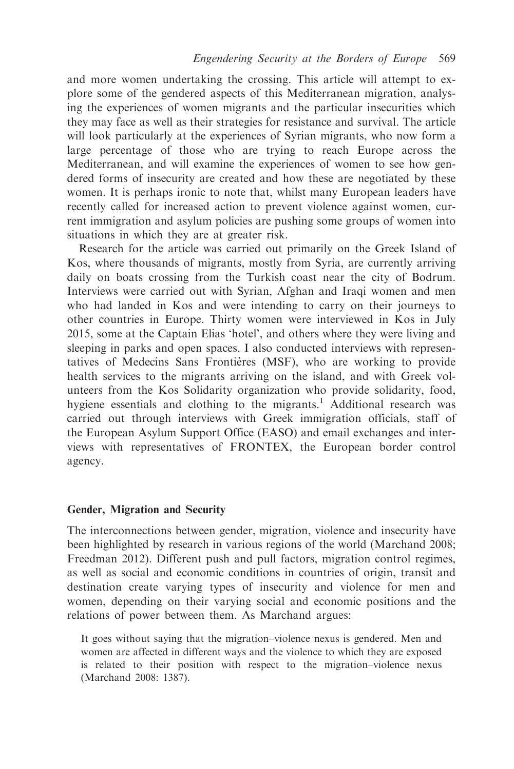and more women undertaking the crossing. This article will attempt to explore some of the gendered aspects of this Mediterranean migration, analysing the experiences of women migrants and the particular insecurities which they may face as well as their strategies for resistance and survival. The article will look particularly at the experiences of Syrian migrants, who now form a large percentage of those who are trying to reach Europe across the Mediterranean, and will examine the experiences of women to see how gendered forms of insecurity are created and how these are negotiated by these women. It is perhaps ironic to note that, whilst many European leaders have recently called for increased action to prevent violence against women, current immigration and asylum policies are pushing some groups of women into situations in which they are at greater risk.

Research for the article was carried out primarily on the Greek Island of Kos, where thousands of migrants, mostly from Syria, are currently arriving daily on boats crossing from the Turkish coast near the city of Bodrum. Interviews were carried out with Syrian, Afghan and Iraqi women and men who had landed in Kos and were intending to carry on their journeys to other countries in Europe. Thirty women were interviewed in Kos in July 2015, some at the Captain Elias 'hotel', and others where they were living and sleeping in parks and open spaces. I also conducted interviews with representatives of Medecins Sans Frontières (MSF), who are working to provide health services to the migrants arriving on the island, and with Greek volunteers from the Kos Solidarity organization who provide solidarity, food, hygiene essentials and clothing to the migrants.<sup>1</sup> Additional research was carried out through interviews with Greek immigration officials, staff of the European Asylum Support Office (EASO) and email exchanges and interviews with representatives of FRONTEX, the European border control agency.

#### Gender, Migration and Security

The interconnections between gender, migration, violence and insecurity have been highlighted by research in various regions of the world [\(Marchand 2008;](#page-14-0) [Freedman 2012\)](#page-13-0). Different push and pull factors, migration control regimes, as well as social and economic conditions in countries of origin, transit and destination create varying types of insecurity and violence for men and women, depending on their varying social and economic positions and the relations of power between them. As Marchand argues:

It goes without saying that the migration–violence nexus is gendered. Men and women are affected in different ways and the violence to which they are exposed is related to their position with respect to the migration–violence nexus ([Marchand 2008](#page-14-0): 1387).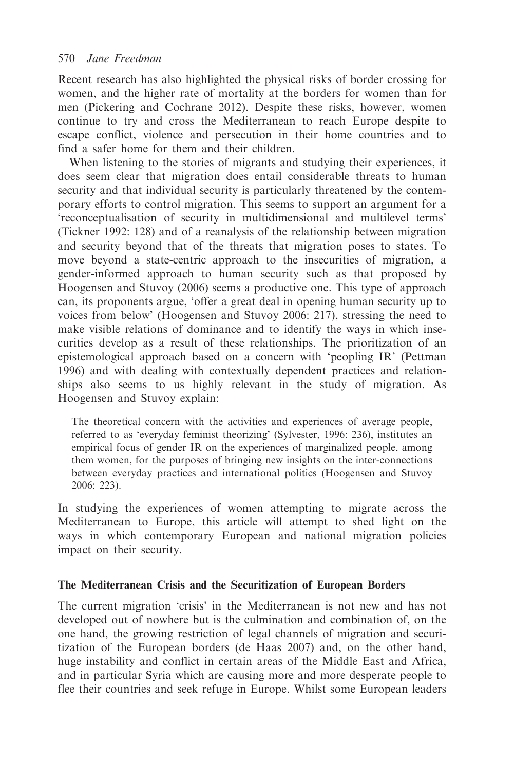Recent research has also highlighted the physical risks of border crossing for women, and the higher rate of mortality at the borders for women than for men [\(Pickering and Cochrane 2012](#page-14-0)). Despite these risks, however, women continue to try and cross the Mediterranean to reach Europe despite to escape conflict, violence and persecution in their home countries and to find a safer home for them and their children.

When listening to the stories of migrants and studying their experiences, it does seem clear that migration does entail considerable threats to human security and that individual security is particularly threatened by the contemporary efforts to control migration. This seems to support an argument for a 'reconceptualisation of security in multidimensional and multilevel terms' ([Tickner 1992](#page-14-0): 128) and of a reanalysis of the relationship between migration and security beyond that of the threats that migration poses to states. To move beyond a state-centric approach to the insecurities of migration, a gender-informed approach to human security such as that proposed by [Hoogensen and Stuvoy \(2006\)](#page-13-0) seems a productive one. This type of approach can, its proponents argue, 'offer a great deal in opening human security up to voices from below' ([Hoogensen and Stuvoy 2006:](#page-13-0) 217), stressing the need to make visible relations of dominance and to identify the ways in which insecurities develop as a result of these relationships. The prioritization of an epistemological approach based on a concern with 'peopling IR' ([Pettman](#page-14-0) [1996\)](#page-14-0) and with dealing with contextually dependent practices and relationships also seems to us highly relevant in the study of migration. As Hoogensen and Stuvoy explain:

The theoretical concern with the activities and experiences of average people, referred to as 'everyday feminist theorizing' (Sylvester, 1996: 236), institutes an empirical focus of gender IR on the experiences of marginalized people, among them women, for the purposes of bringing new insights on the inter-connections between everyday practices and international politics ([Hoogensen and Stuvoy](#page-13-0) [2006:](#page-13-0) 223).

In studying the experiences of women attempting to migrate across the Mediterranean to Europe, this article will attempt to shed light on the ways in which contemporary European and national migration policies impact on their security.

# The Mediterranean Crisis and the Securitization of European Borders

The current migration 'crisis' in the Mediterranean is not new and has not developed out of nowhere but is the culmination and combination of, on the one hand, the growing restriction of legal channels of migration and securitization of the European borders ([de Haas 2007](#page-13-0)) and, on the other hand, huge instability and conflict in certain areas of the Middle East and Africa, and in particular Syria which are causing more and more desperate people to flee their countries and seek refuge in Europe. Whilst some European leaders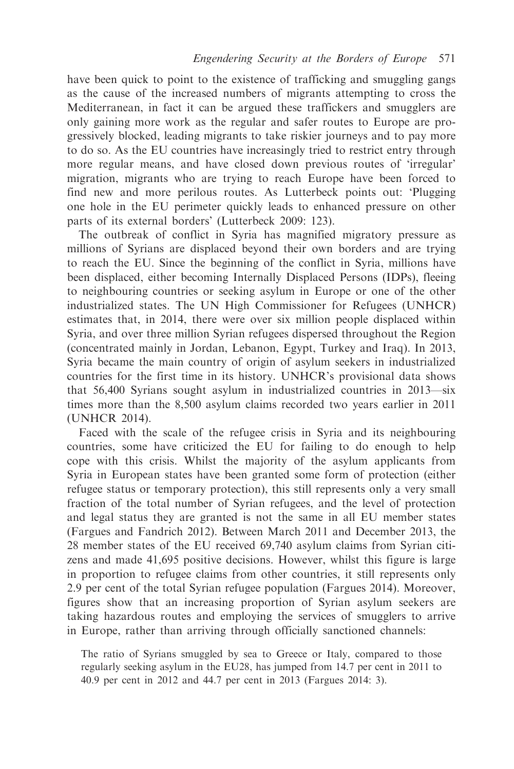have been quick to point to the existence of trafficking and smuggling gangs as the cause of the increased numbers of migrants attempting to cross the Mediterranean, in fact it can be argued these traffickers and smugglers are only gaining more work as the regular and safer routes to Europe are progressively blocked, leading migrants to take riskier journeys and to pay more to do so. As the EU countries have increasingly tried to restrict entry through more regular means, and have closed down previous routes of 'irregular' migration, migrants who are trying to reach Europe have been forced to find new and more perilous routes. As Lutterbeck points out: 'Plugging one hole in the EU perimeter quickly leads to enhanced pressure on other parts of its external borders' [\(Lutterbeck 2009:](#page-13-0) 123).

The outbreak of conflict in Syria has magnified migratory pressure as millions of Syrians are displaced beyond their own borders and are trying to reach the EU. Since the beginning of the conflict in Syria, millions have been displaced, either becoming Internally Displaced Persons (IDPs), fleeing to neighbouring countries or seeking asylum in Europe or one of the other industrialized states. The UN High Commissioner for Refugees (UNHCR) estimates that, in 2014, there were over six million people displaced within Syria, and over three million Syrian refugees dispersed throughout the Region (concentrated mainly in Jordan, Lebanon, Egypt, Turkey and Iraq). In 2013, Syria became the main country of origin of asylum seekers in industrialized countries for the first time in its history. UNHCR's provisional data shows that 56,400 Syrians sought asylum in industrialized countries in 2013—six times more than the 8,500 asylum claims recorded two years earlier in 2011 [\(UNHCR 2014](#page-14-0)).

Faced with the scale of the refugee crisis in Syria and its neighbouring countries, some have criticized the EU for failing to do enough to help cope with this crisis. Whilst the majority of the asylum applicants from Syria in European states have been granted some form of protection (either refugee status or temporary protection), this still represents only a very small fraction of the total number of Syrian refugees, and the level of protection and legal status they are granted is not the same in all EU member states [\(Fargues and Fandrich 2012](#page-13-0)). Between March 2011 and December 2013, the 28 member states of the EU received 69,740 asylum claims from Syrian citizens and made 41,695 positive decisions. However, whilst this figure is large in proportion to refugee claims from other countries, it still represents only 2.9 per cent of the total Syrian refugee population ([Fargues 2014](#page-13-0)). Moreover, figures show that an increasing proportion of Syrian asylum seekers are taking hazardous routes and employing the services of smugglers to arrive in Europe, rather than arriving through officially sanctioned channels:

The ratio of Syrians smuggled by sea to Greece or Italy, compared to those regularly seeking asylum in the EU28, has jumped from 14.7 per cent in 2011 to 40.9 per cent in 2012 and 44.7 per cent in 2013 [\(Fargues 2014](#page-13-0): 3).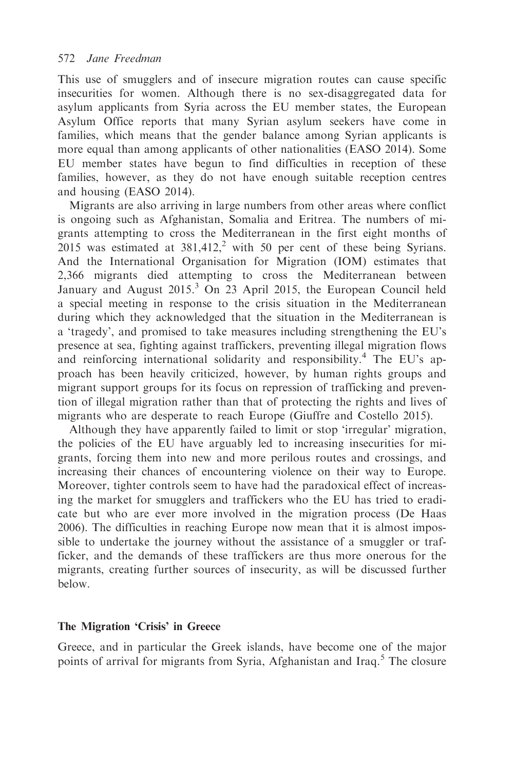This use of smugglers and of insecure migration routes can cause specific insecurities for women. Although there is no sex-disaggregated data for asylum applicants from Syria across the EU member states, the European Asylum Office reports that many Syrian asylum seekers have come in families, which means that the gender balance among Syrian applicants is more equal than among applicants of other nationalities ([EASO 2014](#page-13-0)). Some EU member states have begun to find difficulties in reception of these families, however, as they do not have enough suitable reception centres and housing [\(EASO 2014\)](#page-13-0).

Migrants are also arriving in large numbers from other areas where conflict is ongoing such as Afghanistan, Somalia and Eritrea. The numbers of migrants attempting to cross the Mediterranean in the first eight months of 2015 was estimated at  $381,412$ <sup>2</sup> with 50 per cent of these being Syrians. And the International Organisation for Migration (IOM) estimates that 2,366 migrants died attempting to cross the Mediterranean between January and August 2015.<sup>3</sup> On 23 April 2015, the European Council held a special meeting in response to the crisis situation in the Mediterranean during which they acknowledged that the situation in the Mediterranean is a 'tragedy', and promised to take measures including strengthening the EU's presence at sea, fighting against traffickers, preventing illegal migration flows and reinforcing international solidarity and responsibility.<sup>4</sup> The EU's approach has been heavily criticized, however, by human rights groups and migrant support groups for its focus on repression of trafficking and prevention of illegal migration rather than that of protecting the rights and lives of migrants who are desperate to reach Europe ([Giuffre and Costello 2015](#page-13-0)).

Although they have apparently failed to limit or stop 'irregular' migration, the policies of the EU have arguably led to increasing insecurities for migrants, forcing them into new and more perilous routes and crossings, and increasing their chances of encountering violence on their way to Europe. Moreover, tighter controls seem to have had the paradoxical effect of increasing the market for smugglers and traffickers who the EU has tried to eradicate but who are ever more involved in the migration process ([De Haas](#page-13-0) [2006\)](#page-13-0). The difficulties in reaching Europe now mean that it is almost impossible to undertake the journey without the assistance of a smuggler or trafficker, and the demands of these traffickers are thus more onerous for the migrants, creating further sources of insecurity, as will be discussed further below.

# The Migration 'Crisis' in Greece

Greece, and in particular the Greek islands, have become one of the major points of arrival for migrants from Syria, Afghanistan and Iraq.<sup>5</sup> The closure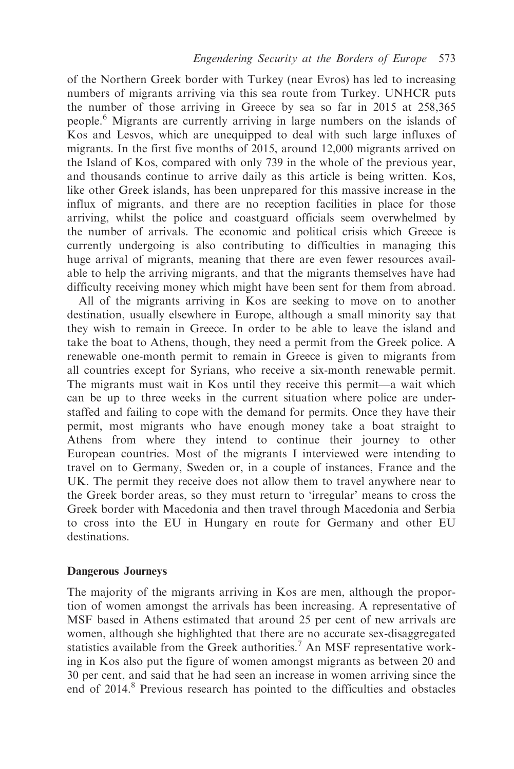of the Northern Greek border with Turkey (near Evros) has led to increasing numbers of migrants arriving via this sea route from Turkey. UNHCR puts the number of those arriving in Greece by sea so far in 2015 at 258,365 people.<sup>6</sup> Migrants are currently arriving in large numbers on the islands of Kos and Lesvos, which are unequipped to deal with such large influxes of migrants. In the first five months of 2015, around 12,000 migrants arrived on the Island of Kos, compared with only 739 in the whole of the previous year, and thousands continue to arrive daily as this article is being written. Kos, like other Greek islands, has been unprepared for this massive increase in the influx of migrants, and there are no reception facilities in place for those arriving, whilst the police and coastguard officials seem overwhelmed by the number of arrivals. The economic and political crisis which Greece is currently undergoing is also contributing to difficulties in managing this huge arrival of migrants, meaning that there are even fewer resources available to help the arriving migrants, and that the migrants themselves have had difficulty receiving money which might have been sent for them from abroad.

All of the migrants arriving in Kos are seeking to move on to another destination, usually elsewhere in Europe, although a small minority say that they wish to remain in Greece. In order to be able to leave the island and take the boat to Athens, though, they need a permit from the Greek police. A renewable one-month permit to remain in Greece is given to migrants from all countries except for Syrians, who receive a six-month renewable permit. The migrants must wait in Kos until they receive this permit—a wait which can be up to three weeks in the current situation where police are understaffed and failing to cope with the demand for permits. Once they have their permit, most migrants who have enough money take a boat straight to Athens from where they intend to continue their journey to other European countries. Most of the migrants I interviewed were intending to travel on to Germany, Sweden or, in a couple of instances, France and the UK. The permit they receive does not allow them to travel anywhere near to the Greek border areas, so they must return to 'irregular' means to cross the Greek border with Macedonia and then travel through Macedonia and Serbia to cross into the EU in Hungary en route for Germany and other EU destinations.

#### Dangerous Journeys

The majority of the migrants arriving in Kos are men, although the proportion of women amongst the arrivals has been increasing. A representative of MSF based in Athens estimated that around 25 per cent of new arrivals are women, although she highlighted that there are no accurate sex-disaggregated statistics available from the Greek authorities.<sup>7</sup> An MSF representative working in Kos also put the figure of women amongst migrants as between 20 and 30 per cent, and said that he had seen an increase in women arriving since the end of 2014.<sup>8</sup> Previous research has pointed to the difficulties and obstacles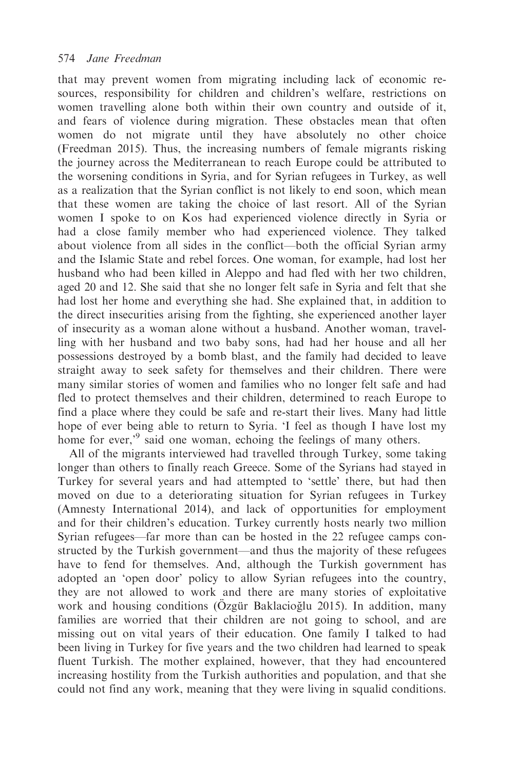## 574 Jane Freedman

that may prevent women from migrating including lack of economic resources, responsibility for children and children's welfare, restrictions on women travelling alone both within their own country and outside of it, and fears of violence during migration. These obstacles mean that often women do not migrate until they have absolutely no other choice ([Freedman 2015\)](#page-13-0). Thus, the increasing numbers of female migrants risking the journey across the Mediterranean to reach Europe could be attributed to the worsening conditions in Syria, and for Syrian refugees in Turkey, as well as a realization that the Syrian conflict is not likely to end soon, which mean that these women are taking the choice of last resort. All of the Syrian women I spoke to on Kos had experienced violence directly in Syria or had a close family member who had experienced violence. They talked about violence from all sides in the conflict—both the official Syrian army and the Islamic State and rebel forces. One woman, for example, had lost her husband who had been killed in Aleppo and had fled with her two children, aged 20 and 12. She said that she no longer felt safe in Syria and felt that she had lost her home and everything she had. She explained that, in addition to the direct insecurities arising from the fighting, she experienced another layer of insecurity as a woman alone without a husband. Another woman, travelling with her husband and two baby sons, had had her house and all her possessions destroyed by a bomb blast, and the family had decided to leave straight away to seek safety for themselves and their children. There were many similar stories of women and families who no longer felt safe and had fled to protect themselves and their children, determined to reach Europe to find a place where they could be safe and re-start their lives. Many had little hope of ever being able to return to Syria. 'I feel as though I have lost my home for ever,<sup>9</sup> said one woman, echoing the feelings of many others.

All of the migrants interviewed had travelled through Turkey, some taking longer than others to finally reach Greece. Some of the Syrians had stayed in Turkey for several years and had attempted to 'settle' there, but had then moved on due to a deteriorating situation for Syrian refugees in Turkey ([Amnesty International 2014\)](#page-13-0), and lack of opportunities for employment and for their children's education. Turkey currently hosts nearly two million Syrian refugees—far more than can be hosted in the 22 refugee camps constructed by the Turkish government—and thus the majority of these refugees have to fend for themselves. And, although the Turkish government has adopted an 'open door' policy to allow Syrian refugees into the country, they are not allowed to work and there are many stories of exploitative work and housing conditions (Özgür Baklacioğlu 2015). In addition, many families are worried that their children are not going to school, and are missing out on vital years of their education. One family I talked to had been living in Turkey for five years and the two children had learned to speak fluent Turkish. The mother explained, however, that they had encountered increasing hostility from the Turkish authorities and population, and that she could not find any work, meaning that they were living in squalid conditions.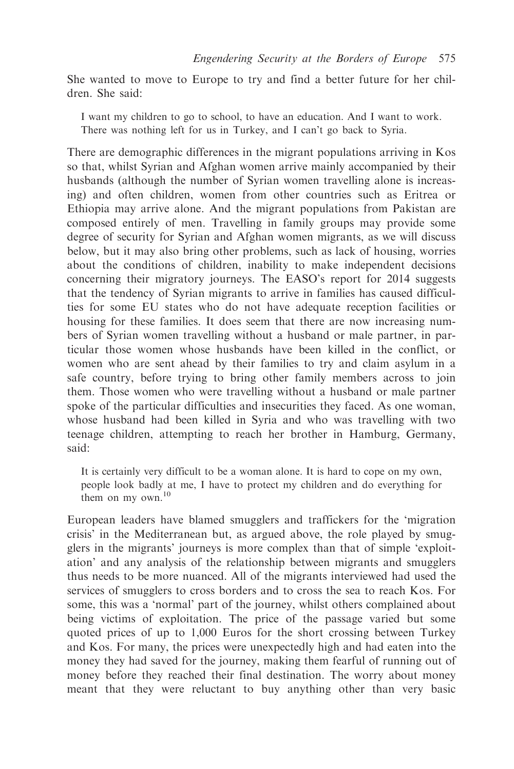She wanted to move to Europe to try and find a better future for her children. She said:

I want my children to go to school, to have an education. And I want to work. There was nothing left for us in Turkey, and I can't go back to Syria.

There are demographic differences in the migrant populations arriving in Kos so that, whilst Syrian and Afghan women arrive mainly accompanied by their husbands (although the number of Syrian women travelling alone is increasing) and often children, women from other countries such as Eritrea or Ethiopia may arrive alone. And the migrant populations from Pakistan are composed entirely of men. Travelling in family groups may provide some degree of security for Syrian and Afghan women migrants, as we will discuss below, but it may also bring other problems, such as lack of housing, worries about the conditions of children, inability to make independent decisions concerning their migratory journeys. The EASO's report for 2014 suggests that the tendency of Syrian migrants to arrive in families has caused difficulties for some EU states who do not have adequate reception facilities or housing for these families. It does seem that there are now increasing numbers of Syrian women travelling without a husband or male partner, in particular those women whose husbands have been killed in the conflict, or women who are sent ahead by their families to try and claim asylum in a safe country, before trying to bring other family members across to join them. Those women who were travelling without a husband or male partner spoke of the particular difficulties and insecurities they faced. As one woman, whose husband had been killed in Syria and who was travelling with two teenage children, attempting to reach her brother in Hamburg, Germany, said:

It is certainly very difficult to be a woman alone. It is hard to cope on my own, people look badly at me, I have to protect my children and do everything for them on my own. $10$ 

European leaders have blamed smugglers and traffickers for the 'migration crisis' in the Mediterranean but, as argued above, the role played by smugglers in the migrants' journeys is more complex than that of simple 'exploitation' and any analysis of the relationship between migrants and smugglers thus needs to be more nuanced. All of the migrants interviewed had used the services of smugglers to cross borders and to cross the sea to reach Kos. For some, this was a 'normal' part of the journey, whilst others complained about being victims of exploitation. The price of the passage varied but some quoted prices of up to 1,000 Euros for the short crossing between Turkey and Kos. For many, the prices were unexpectedly high and had eaten into the money they had saved for the journey, making them fearful of running out of money before they reached their final destination. The worry about money meant that they were reluctant to buy anything other than very basic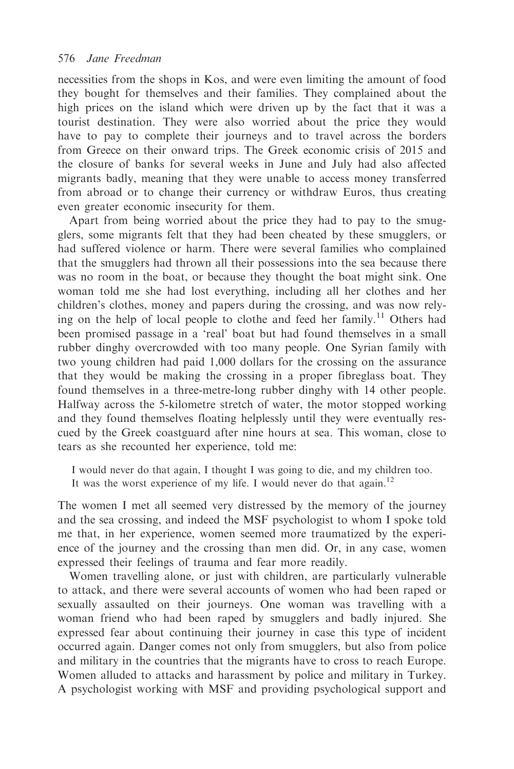necessities from the shops in Kos, and were even limiting the amount of food they bought for themselves and their families. They complained about the high prices on the island which were driven up by the fact that it was a tourist destination. They were also worried about the price they would have to pay to complete their journeys and to travel across the borders from Greece on their onward trips. The Greek economic crisis of 2015 and the closure of banks for several weeks in June and July had also affected migrants badly, meaning that they were unable to access money transferred from abroad or to change their currency or withdraw Euros, thus creating even greater economic insecurity for them.

Apart from being worried about the price they had to pay to the smugglers, some migrants felt that they had been cheated by these smugglers, or had suffered violence or harm. There were several families who complained that the smugglers had thrown all their possessions into the sea because there was no room in the boat, or because they thought the boat might sink. One woman told me she had lost everything, including all her clothes and her children's clothes, money and papers during the crossing, and was now relying on the help of local people to clothe and feed her family.<sup>11</sup> Others had been promised passage in a 'real' boat but had found themselves in a small rubber dinghy overcrowded with too many people. One Syrian family with two young children had paid 1,000 dollars for the crossing on the assurance that they would be making the crossing in a proper fibreglass boat. They found themselves in a three-metre-long rubber dinghy with 14 other people. Halfway across the 5-kilometre stretch of water, the motor stopped working and they found themselves floating helplessly until they were eventually rescued by the Greek coastguard after nine hours at sea. This woman, close to tears as she recounted her experience, told me:

I would never do that again, I thought I was going to die, and my children too. It was the worst experience of my life. I would never do that again.<sup>12</sup>

The women I met all seemed very distressed by the memory of the journey and the sea crossing, and indeed the MSF psychologist to whom I spoke told me that, in her experience, women seemed more traumatized by the experience of the journey and the crossing than men did. Or, in any case, women expressed their feelings of trauma and fear more readily.

Women travelling alone, or just with children, are particularly vulnerable to attack, and there were several accounts of women who had been raped or sexually assaulted on their journeys. One woman was travelling with a woman friend who had been raped by smugglers and badly injured. She expressed fear about continuing their journey in case this type of incident occurred again. Danger comes not only from smugglers, but also from police and military in the countries that the migrants have to cross to reach Europe. Women alluded to attacks and harassment by police and military in Turkey. A psychologist working with MSF and providing psychological support and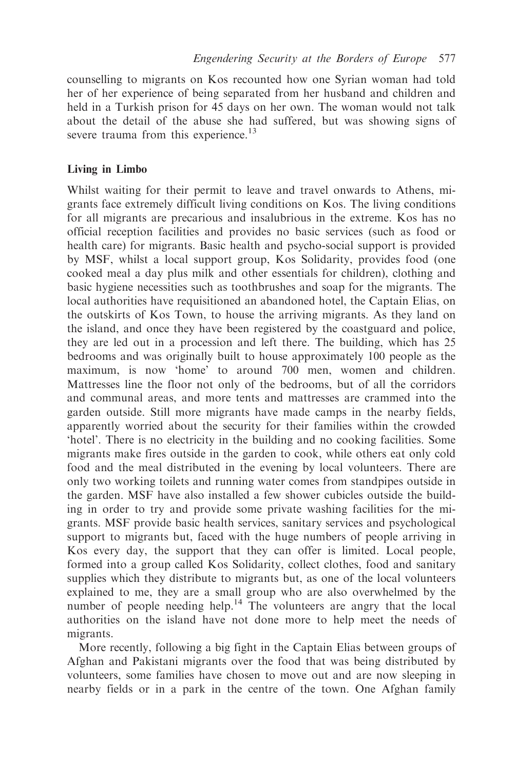counselling to migrants on Kos recounted how one Syrian woman had told her of her experience of being separated from her husband and children and held in a Turkish prison for 45 days on her own. The woman would not talk about the detail of the abuse she had suffered, but was showing signs of severe trauma from this experience.<sup>13</sup>

# Living in Limbo

Whilst waiting for their permit to leave and travel onwards to Athens, migrants face extremely difficult living conditions on Kos. The living conditions for all migrants are precarious and insalubrious in the extreme. Kos has no official reception facilities and provides no basic services (such as food or health care) for migrants. Basic health and psycho-social support is provided by MSF, whilst a local support group, Kos Solidarity, provides food (one cooked meal a day plus milk and other essentials for children), clothing and basic hygiene necessities such as toothbrushes and soap for the migrants. The local authorities have requisitioned an abandoned hotel, the Captain Elias, on the outskirts of Kos Town, to house the arriving migrants. As they land on the island, and once they have been registered by the coastguard and police, they are led out in a procession and left there. The building, which has 25 bedrooms and was originally built to house approximately 100 people as the maximum, is now 'home' to around 700 men, women and children. Mattresses line the floor not only of the bedrooms, but of all the corridors and communal areas, and more tents and mattresses are crammed into the garden outside. Still more migrants have made camps in the nearby fields, apparently worried about the security for their families within the crowded 'hotel'. There is no electricity in the building and no cooking facilities. Some migrants make fires outside in the garden to cook, while others eat only cold food and the meal distributed in the evening by local volunteers. There are only two working toilets and running water comes from standpipes outside in the garden. MSF have also installed a few shower cubicles outside the building in order to try and provide some private washing facilities for the migrants. MSF provide basic health services, sanitary services and psychological support to migrants but, faced with the huge numbers of people arriving in Kos every day, the support that they can offer is limited. Local people, formed into a group called Kos Solidarity, collect clothes, food and sanitary supplies which they distribute to migrants but, as one of the local volunteers explained to me, they are a small group who are also overwhelmed by the number of people needing help.<sup>14</sup> The volunteers are angry that the local authorities on the island have not done more to help meet the needs of migrants.

More recently, following a big fight in the Captain Elias between groups of Afghan and Pakistani migrants over the food that was being distributed by volunteers, some families have chosen to move out and are now sleeping in nearby fields or in a park in the centre of the town. One Afghan family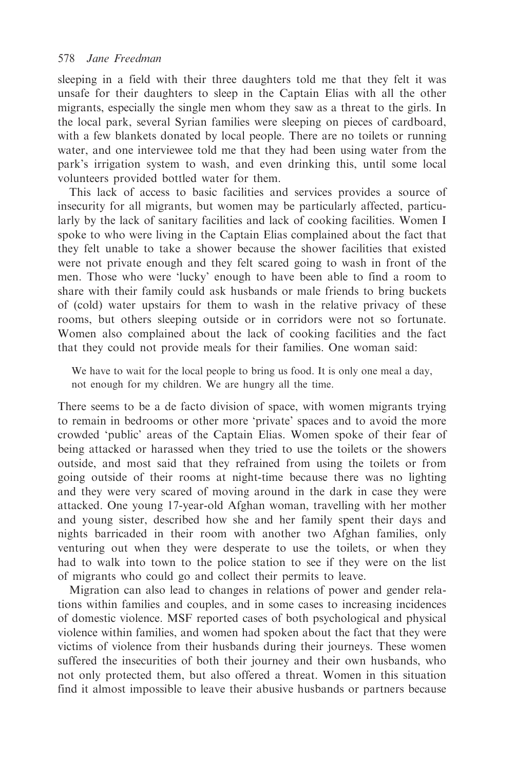#### 578 Jane Freedman

sleeping in a field with their three daughters told me that they felt it was unsafe for their daughters to sleep in the Captain Elias with all the other migrants, especially the single men whom they saw as a threat to the girls. In the local park, several Syrian families were sleeping on pieces of cardboard, with a few blankets donated by local people. There are no toilets or running water, and one interviewee told me that they had been using water from the park's irrigation system to wash, and even drinking this, until some local volunteers provided bottled water for them.

This lack of access to basic facilities and services provides a source of insecurity for all migrants, but women may be particularly affected, particularly by the lack of sanitary facilities and lack of cooking facilities. Women I spoke to who were living in the Captain Elias complained about the fact that they felt unable to take a shower because the shower facilities that existed were not private enough and they felt scared going to wash in front of the men. Those who were 'lucky' enough to have been able to find a room to share with their family could ask husbands or male friends to bring buckets of (cold) water upstairs for them to wash in the relative privacy of these rooms, but others sleeping outside or in corridors were not so fortunate. Women also complained about the lack of cooking facilities and the fact that they could not provide meals for their families. One woman said:

We have to wait for the local people to bring us food. It is only one meal a day, not enough for my children. We are hungry all the time.

There seems to be a de facto division of space, with women migrants trying to remain in bedrooms or other more 'private' spaces and to avoid the more crowded 'public' areas of the Captain Elias. Women spoke of their fear of being attacked or harassed when they tried to use the toilets or the showers outside, and most said that they refrained from using the toilets or from going outside of their rooms at night-time because there was no lighting and they were very scared of moving around in the dark in case they were attacked. One young 17-year-old Afghan woman, travelling with her mother and young sister, described how she and her family spent their days and nights barricaded in their room with another two Afghan families, only venturing out when they were desperate to use the toilets, or when they had to walk into town to the police station to see if they were on the list of migrants who could go and collect their permits to leave.

Migration can also lead to changes in relations of power and gender relations within families and couples, and in some cases to increasing incidences of domestic violence. MSF reported cases of both psychological and physical violence within families, and women had spoken about the fact that they were victims of violence from their husbands during their journeys. These women suffered the insecurities of both their journey and their own husbands, who not only protected them, but also offered a threat. Women in this situation find it almost impossible to leave their abusive husbands or partners because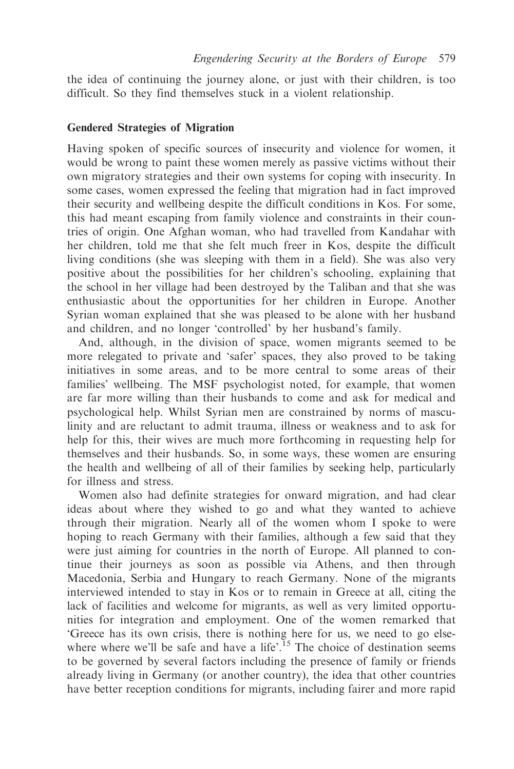the idea of continuing the journey alone, or just with their children, is too difficult. So they find themselves stuck in a violent relationship.

#### Gendered Strategies of Migration

Having spoken of specific sources of insecurity and violence for women, it would be wrong to paint these women merely as passive victims without their own migratory strategies and their own systems for coping with insecurity. In some cases, women expressed the feeling that migration had in fact improved their security and wellbeing despite the difficult conditions in Kos. For some, this had meant escaping from family violence and constraints in their countries of origin. One Afghan woman, who had travelled from Kandahar with her children, told me that she felt much freer in Kos, despite the difficult living conditions (she was sleeping with them in a field). She was also very positive about the possibilities for her children's schooling, explaining that the school in her village had been destroyed by the Taliban and that she was enthusiastic about the opportunities for her children in Europe. Another Syrian woman explained that she was pleased to be alone with her husband and children, and no longer 'controlled' by her husband's family.

And, although, in the division of space, women migrants seemed to be more relegated to private and 'safer' spaces, they also proved to be taking initiatives in some areas, and to be more central to some areas of their families' wellbeing. The MSF psychologist noted, for example, that women are far more willing than their husbands to come and ask for medical and psychological help. Whilst Syrian men are constrained by norms of masculinity and are reluctant to admit trauma, illness or weakness and to ask for help for this, their wives are much more forthcoming in requesting help for themselves and their husbands. So, in some ways, these women are ensuring the health and wellbeing of all of their families by seeking help, particularly for illness and stress.

Women also had definite strategies for onward migration, and had clear ideas about where they wished to go and what they wanted to achieve through their migration. Nearly all of the women whom I spoke to were hoping to reach Germany with their families, although a few said that they were just aiming for countries in the north of Europe. All planned to continue their journeys as soon as possible via Athens, and then through Macedonia, Serbia and Hungary to reach Germany. None of the migrants interviewed intended to stay in Kos or to remain in Greece at all, citing the lack of facilities and welcome for migrants, as well as very limited opportunities for integration and employment. One of the women remarked that 'Greece has its own crisis, there is nothing here for us, we need to go elsewhere where we'll be safe and have a life'.<sup>15</sup> The choice of destination seems to be governed by several factors including the presence of family or friends already living in Germany (or another country), the idea that other countries have better reception conditions for migrants, including fairer and more rapid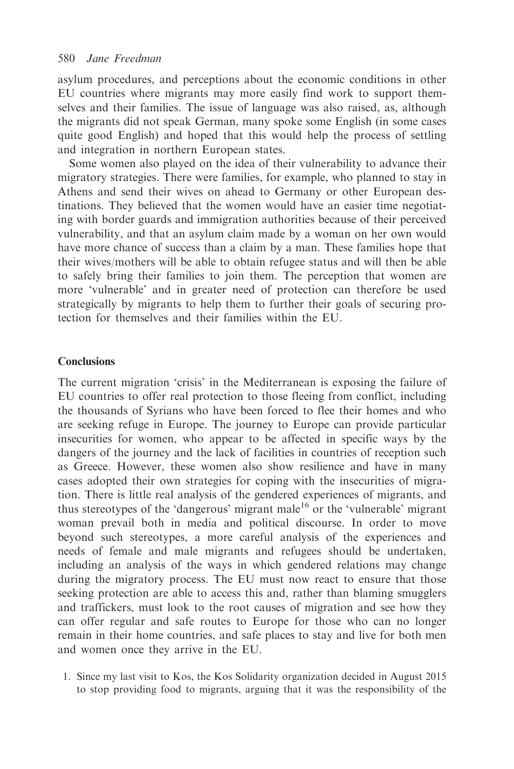asylum procedures, and perceptions about the economic conditions in other EU countries where migrants may more easily find work to support themselves and their families. The issue of language was also raised, as, although the migrants did not speak German, many spoke some English (in some cases quite good English) and hoped that this would help the process of settling and integration in northern European states.

Some women also played on the idea of their vulnerability to advance their migratory strategies. There were families, for example, who planned to stay in Athens and send their wives on ahead to Germany or other European destinations. They believed that the women would have an easier time negotiating with border guards and immigration authorities because of their perceived vulnerability, and that an asylum claim made by a woman on her own would have more chance of success than a claim by a man. These families hope that their wives/mothers will be able to obtain refugee status and will then be able to safely bring their families to join them. The perception that women are more 'vulnerable' and in greater need of protection can therefore be used strategically by migrants to help them to further their goals of securing protection for themselves and their families within the EU.

## **Conclusions**

The current migration 'crisis' in the Mediterranean is exposing the failure of EU countries to offer real protection to those fleeing from conflict, including the thousands of Syrians who have been forced to flee their homes and who are seeking refuge in Europe. The journey to Europe can provide particular insecurities for women, who appear to be affected in specific ways by the dangers of the journey and the lack of facilities in countries of reception such as Greece. However, these women also show resilience and have in many cases adopted their own strategies for coping with the insecurities of migration. There is little real analysis of the gendered experiences of migrants, and thus stereotypes of the 'dangerous' migrant male<sup>16</sup> or the 'vulnerable' migrant woman prevail both in media and political discourse. In order to move beyond such stereotypes, a more careful analysis of the experiences and needs of female and male migrants and refugees should be undertaken, including an analysis of the ways in which gendered relations may change during the migratory process. The EU must now react to ensure that those seeking protection are able to access this and, rather than blaming smugglers and traffickers, must look to the root causes of migration and see how they can offer regular and safe routes to Europe for those who can no longer remain in their home countries, and safe places to stay and live for both men and women once they arrive in the EU.

1. Since my last visit to Kos, the Kos Solidarity organization decided in August 2015 to stop providing food to migrants, arguing that it was the responsibility of the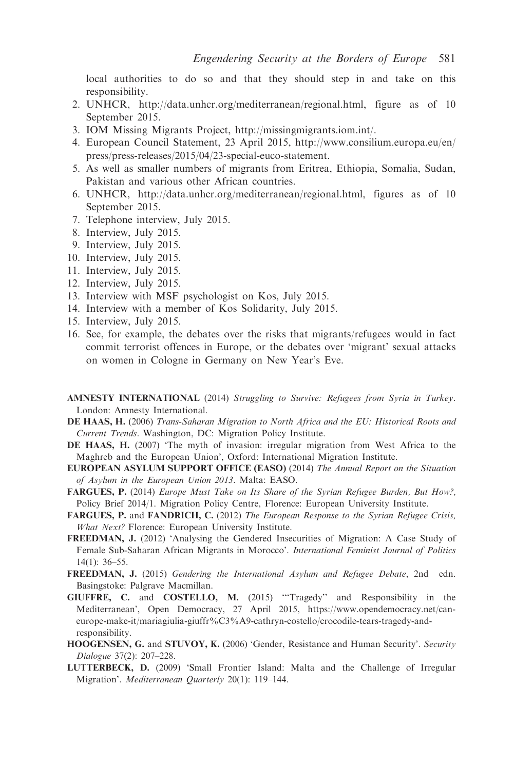<span id="page-13-0"></span>local authorities to do so and that they should step in and take on this responsibility.

- 2. UNHCR,<http://data.unhcr.org/mediterranean/regional.html>, figure as of 10 September 2015.
- 3. IOM Missing Migrants Project, [http://missingmigrants.iom.int/.](http://missingmigrants.iom.int/)
- 4. European Council Statement, 23 April 2015, [http://www.consilium.europa.eu/en/](http://www.consilium.europa.eu/en/press/press-releases/2015/04/23-special-euco-statement) [press/press-releases/2015/04/23-special-euco-statement.](http://www.consilium.europa.eu/en/press/press-releases/2015/04/23-special-euco-statement)
- 5. As well as smaller numbers of migrants from Eritrea, Ethiopia, Somalia, Sudan, Pakistan and various other African countries.
- 6. UNHCR, [http://data.unhcr.org/mediterranean/regional.html,](http://data.unhcr.org/mediterranean/regional.html) figures as of 10 September 2015.
- 7. Telephone interview, July 2015.
- 8. Interview, July 2015.
- 9. Interview, July 2015.
- 10. Interview, July 2015.
- 11. Interview, July 2015.
- 12. Interview, July 2015.
- 13. Interview with MSF psychologist on Kos, July 2015.
- 14. Interview with a member of Kos Solidarity, July 2015.
- 15. Interview, July 2015.
- 16. See, for example, the debates over the risks that migrants/refugees would in fact commit terrorist offences in Europe, or the debates over 'migrant' sexual attacks on women in Cologne in Germany on New Year's Eve.
- AMNESTY INTERNATIONAL (2014) Struggling to Survive: Refugees from Syria in Turkey. London: Amnesty International.
- DE HAAS, H. (2006) Trans-Saharan Migration to North Africa and the EU: Historical Roots and Current Trends. Washington, DC: Migration Policy Institute.
- DE HAAS, H. (2007) 'The myth of invasion: irregular migration from West Africa to the Maghreb and the European Union', Oxford: International Migration Institute.
- EUROPEAN ASYLUM SUPPORT OFFICE (EASO) (2014) The Annual Report on the Situation of Asylum in the European Union 2013. Malta: EASO.
- FARGUES, P. (2014) Europe Must Take on Its Share of the Syrian Refugee Burden, But How?, Policy Brief 2014/1. Migration Policy Centre, Florence: European University Institute.
- FARGUES, P. and FANDRICH, C. (2012) The European Response to the Syrian Refugee Crisis, What Next? Florence: European University Institute.
- FREEDMAN, J. (2012) 'Analysing the Gendered Insecurities of Migration: A Case Study of Female Sub-Saharan African Migrants in Morocco'. International Feminist Journal of Politics 14(1): 36–55.
- FREEDMAN, J. (2015) Gendering the International Asylum and Refugee Debate, 2nd edn. Basingstoke: Palgrave Macmillan.
- GIUFFRE, C. and COSTELLO, M. (2015) '''Tragedy'' and Responsibility in the Mediterranean', Open Democracy, 27 April 2015, [https://www.opendemocracy.net/can](https://www.opendemocracy.net/can-europe-make-it/mariagiulia-giuffrC3A9-cathryn-costello/crocodile-tears-tragedy-and-responsibility)[europe-make-it/mariagiulia-giuffr%C3%A9-cathryn-costello/crocodile-tears-tragedy-and](https://www.opendemocracy.net/can-europe-make-it/mariagiulia-giuffrC3A9-cathryn-costello/crocodile-tears-tragedy-and-responsibility)[responsibility](https://www.opendemocracy.net/can-europe-make-it/mariagiulia-giuffrC3A9-cathryn-costello/crocodile-tears-tragedy-and-responsibility).
- HOOGENSEN, G. and STUVOY, K. (2006) 'Gender, Resistance and Human Security'. Security Dialogue 37(2): 207–228.
- LUTTERBECK, D. (2009) 'Small Frontier Island: Malta and the Challenge of Irregular Migration'. Mediterranean Quarterly 20(1): 119-144.